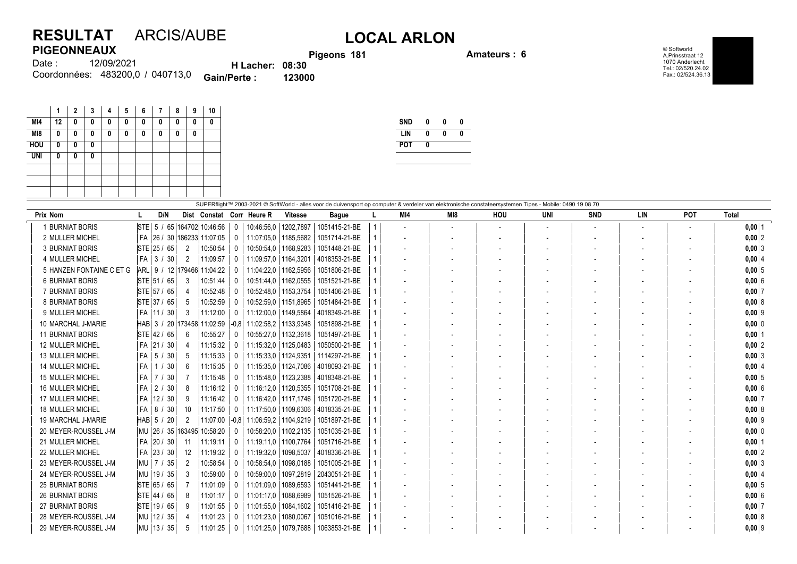## **RESULTAT** ARCIS/AUBE **LOCAL ARLON PIGEONNEAUX**

**Pigeons 181 Amateurs : 6**

© Softworld A.Prinsstraat 12 1070 Anderlecht Tel.: 02/520.24.02 Fax.: 02/524.36.13

| .      |                                  |                        | <b>Pigec</b> |
|--------|----------------------------------|------------------------|--------------|
| Date : | 12/09/2021                       | <b>H</b> Lacher: 08:30 |              |
|        | Coordonnées: 483200.0 / 040713.0 | <b>Gain/Perte:</b>     | 123000       |

|            | 1  | $\overline{2}$ | 3 | 4 | 5 | 6 | 7 | 8 | 9 | 10 |
|------------|----|----------------|---|---|---|---|---|---|---|----|
| MI4        | 12 | 0              | 0 | 0 | 0 | 0 | 0 | 0 | 0 | 0  |
| M18        | 0  | 0              | 0 | 0 | 0 | 0 | 0 | 0 | 0 |    |
| <b>HOU</b> | 0  | 0              | 0 |   |   |   |   |   |   |    |
| <b>UNI</b> | 0  | $\bf{0}$       | 0 |   |   |   |   |   |   |    |
|            |    |                |   |   |   |   |   |   |   |    |
|            |    |                |   |   |   |   |   |   |   |    |
|            |    |                |   |   |   |   |   |   |   |    |

| <b>SND</b> | 0 | 0 | 0 |
|------------|---|---|---|
| I IN       | 0 | Λ | Λ |
| <b>POT</b> | Λ |   |   |
|            |   |   |   |

| SUPERflight™ 2003-2021 © SoftWorld - alles voor de duivensport op computer & verdeler van elektronische constateersystemen Tipes - Mobile: 0490 19 08 70 |                               |                 |                             |              |                                 |                        |                           |  |     |                 |                          |                          |                          |                          |                          |              |
|----------------------------------------------------------------------------------------------------------------------------------------------------------|-------------------------------|-----------------|-----------------------------|--------------|---------------------------------|------------------------|---------------------------|--|-----|-----------------|--------------------------|--------------------------|--------------------------|--------------------------|--------------------------|--------------|
| Prix Nom                                                                                                                                                 | D/N                           |                 |                             |              | Dist Constat Corr Heure R       | <b>Vitesse</b>         | <b>Bague</b>              |  | MI4 | M <sub>18</sub> | HOU                      | UNI                      | <b>SND</b>               | LIN                      | <b>POT</b>               | <b>Total</b> |
| 1 BURNIAT BORIS                                                                                                                                          | STE 5 / 65 164702 10:46:56    |                 |                             | $\mathbf{0}$ | 10:46:56.0                      | 1202,7897              | 1051415-21-BE             |  |     |                 | $\overline{\phantom{a}}$ | $\overline{\phantom{a}}$ | $\overline{\phantom{a}}$ | $\overline{\phantom{a}}$ | $\overline{\phantom{a}}$ | $0,00$ 1     |
| 2 MULLER MICHEL                                                                                                                                          | FA                            |                 | 26 / 30   186233   11:07:05 | $\mathbf{0}$ | 11:07:05.0                      | 1185,5682              | 1051714-21-BE             |  |     |                 |                          |                          |                          |                          |                          | $0,00$ 2     |
| <b>3 BURNIAT BORIS</b>                                                                                                                                   | STE 25 / 65                   | 2               | 10:50:54                    | 0            | 10:50:54,0   1168,9283          |                        | 1051448-21-BE             |  |     |                 |                          |                          |                          |                          |                          | $0,00$ 3     |
| 4 MULLER MICHEL                                                                                                                                          | $FA$ 3 /<br>30 <sup>°</sup>   | 2               | 11:09:57                    | $\mathbf{0}$ | 11:09:57.0   1164.3201          |                        | 4018353-21-BE             |  |     |                 |                          |                          |                          | $\overline{\phantom{a}}$ |                          | $0,00$ 4     |
| 5 HANZEN FONTAINE C ET G                                                                                                                                 | ARL 9 / 12 179466 11:04:22    |                 |                             | 0            | 11:04:22.0                      | 1162,5956              | 1051806-21-BE             |  |     |                 |                          |                          |                          |                          |                          | 0.0015       |
| <b>6 BURNIAT BORIS</b>                                                                                                                                   | STE 51 / 65                   | 3               | 10:51:44                    | 0            | 10:51:44,0   1162,0555          |                        | 1051521-21-BE             |  |     |                 |                          |                          |                          |                          |                          | $0,00$ 6     |
| 7 BURNIAT BORIS                                                                                                                                          | STE 57 / 65                   |                 | 10:52:48                    | 0            | 10:52:48.0   1153.3754          |                        | 1051406-21-BE             |  |     |                 |                          |                          |                          |                          |                          | $0,00$ 7     |
| <b>8 BURNIAT BORIS</b>                                                                                                                                   | STE 37 / 65                   | 5               | 10:52:59                    |              | 10:52:59,0   1151,8965          |                        | 1051484-21-BE             |  |     |                 |                          |                          |                          |                          |                          | 0,008        |
| 9 MULLER MICHEL                                                                                                                                          | FA   11 / 30                  | 3               | 11:12:00                    | 0            | 11:12:00,0                      | 1149,5864              | 4018349-21-BE             |  |     |                 |                          |                          |                          |                          |                          | $0,00$ 9     |
| 10 MARCHAL J-MARIE                                                                                                                                       | $HAB$ 3 /                     |                 | 20 173458 11:02:59          |              | $-0.8$   11:02:58.2   1133.9348 |                        | 1051898-21-BE             |  |     |                 |                          |                          |                          |                          |                          | $0,00$ 0     |
| <b>11 BURNIAT BORIS</b>                                                                                                                                  | STE 42 / 65                   | 6               | 10:55:27                    |              |                                 | 10:55:27.0   1132,3618 | 1051497-21-BE             |  |     |                 |                          |                          |                          |                          |                          | $0,00$   1   |
| <b>12 MULLER MICHEL</b>                                                                                                                                  | FA 21 / 30                    |                 | 11:15:32                    | 0            | 11:15:32,0                      | 1125,0483              | 1050500-21-BE             |  |     |                 |                          |                          |                          |                          | $\overline{\phantom{a}}$ | $0,00$ 2     |
| 13 MULLER MICHEL                                                                                                                                         | $FA$ 5 /<br>30                | 5               | 11:15:33                    | 0            | 11:15:33.0   1124.9351          |                        | 1114297-21-BE             |  |     |                 |                          |                          |                          |                          |                          | $0,00$ 3     |
| <b>14 MULLER MICHEL</b>                                                                                                                                  | <b>FA</b><br>1 / 30           | 6               | 11:15:35                    | 0            | 11:15:35.0   1124.7086          |                        | 4018093-21-BE             |  |     |                 |                          |                          |                          |                          | $\overline{\phantom{a}}$ | $0,00$ 4     |
| <b>15 MULLER MICHEL</b>                                                                                                                                  | FA 7 / 30                     |                 | 11:15:48                    | $\mathbf 0$  | 11:15:48.0   1123.2388          |                        | 4018348-21-BE             |  |     |                 |                          |                          |                          |                          |                          | $0,00$ 5     |
| <b>16 MULLER MICHEL</b>                                                                                                                                  | 2/<br>$30^{\circ}$<br>FA      | 8               | 11:16:12                    | $\mathbf{0}$ | 11:16:12.0   1120.5355          |                        | 1051708-21-BE             |  |     |                 |                          |                          |                          |                          |                          | 0,006        |
| 17 MULLER MICHEL                                                                                                                                         | FA   12 / 30                  | 9               | 11:16:42                    | 0            | 11:16:42,0   1117,1746          |                        | 1051720-21-BE             |  |     |                 |                          |                          |                          |                          |                          | $0,00$ 7     |
| <b>18 MULLER MICHEL</b>                                                                                                                                  | $FA$ 8<br>30 <sup>°</sup>     | 10              | 11:17:50                    | $\mathbf{0}$ | 11:17:50.0   1109.6306          |                        | 4018335-21-BE             |  |     |                 |                          |                          |                          | $\overline{\phantom{a}}$ | $\overline{\phantom{a}}$ | 0,008        |
| 19 MARCHAL J-MARIE                                                                                                                                       | HAB 5 / 20                    | 2               | 11:07:00                    |              | $-0.8$ 11:06:59.2 1104.9219     |                        | 1051897-21-BE             |  |     |                 |                          |                          |                          |                          |                          | $0,00$ 9     |
| 20 MEYER-ROUSSEL J-M                                                                                                                                     | MU  26 / 35  163495  10:58:20 |                 |                             | 0            | 10:58:20.0   1102.2135          |                        | 1051035-21-BE             |  |     |                 |                          |                          |                          |                          |                          | $0,00$ 0     |
| 21 MULLER MICHEL                                                                                                                                         | FA 20 / 30                    | 11              | 11:19:11                    | $\mathbf 0$  | 11:19:11.0   1100.7764          |                        | 1051716-21-BE             |  |     |                 |                          |                          |                          | $\overline{\phantom{a}}$ | $\overline{\phantom{a}}$ | $0,00$ 1     |
| 22 MULLER MICHEL                                                                                                                                         | FA 23 / 30                    | 12 <sup>°</sup> | 11:19:32                    | $\mathbf{0}$ | 11:19:32.0                      | 1098,5037              | 4018336-21-BE             |  |     |                 |                          |                          |                          |                          |                          | $0,00$ 2     |
| 23 MEYER-ROUSSEL J-M                                                                                                                                     | MU 7 / 35                     | 2               | 10:58:54                    | $\mathbf{0}$ | 10:58:54,0                      | 1098,0188              | 1051005-21-BE             |  |     |                 |                          |                          |                          |                          |                          | $0,00$ 3     |
| 24 MEYER-ROUSSEL J-M                                                                                                                                     | MU 19 / 35                    | 3               | 10:59:00                    | $\mathbf{0}$ | 10:59:00.0                      |                        | 1097.2819   2043051-21-BE |  |     |                 |                          |                          |                          | $\overline{\phantom{a}}$ |                          | $0,00$ 4     |
| <b>25 BURNIAT BORIS</b>                                                                                                                                  | STE 65 / 65                   |                 | 11:01:09                    | 0            | 11:01:09.0                      | 1089,6593              | 1051441-21-BE             |  |     |                 |                          |                          |                          |                          |                          | 0,005        |
| <b>26 BURNIAT BORIS</b>                                                                                                                                  | STE 44 / 65                   | 8               | 11:01:17                    | 0            | 11:01:17.0                      | 1088.6989              | 1051526-21-BE             |  |     |                 |                          |                          |                          |                          |                          | $0.00$ 6     |
| <b>27 BURNIAT BORIS</b>                                                                                                                                  | STE 19 / 65                   | 9               | 11:01:55                    | $\mathbf{0}$ | 11:01:55,0                      | 1084,1602              | 1051416-21-BE             |  |     |                 |                          |                          |                          |                          |                          | $0,00$ 7     |
| 28 MEYER-ROUSSEL J-M                                                                                                                                     | MU 12 / 35                    |                 | 11:01:23                    | $\Omega$     | 11:01:23,0                      | 1080,0067              | 1051016-21-BE             |  |     |                 |                          |                          |                          |                          |                          | 0,008        |
| 29 MEYER-ROUSSEL J-M                                                                                                                                     | MU 13 / 35                    | 5               | 11:01:25                    | $\mathbf 0$  | 11:01:25,0                      | 1079.7688              | 1063853-21-BE             |  |     |                 |                          |                          |                          |                          |                          | $0.00$  9    |